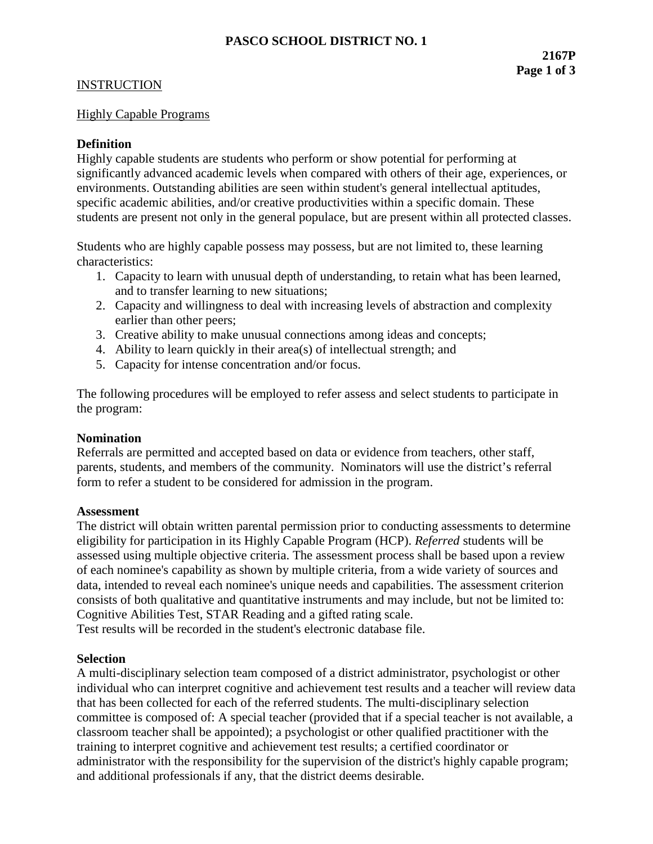#### INSTRUCTION

#### Highly Capable Programs

### **Definition**

Highly capable students are students who perform or show potential for performing at significantly advanced academic levels when compared with others of their age, experiences, or environments. Outstanding abilities are seen within student's general intellectual aptitudes, specific academic abilities, and/or creative productivities within a specific domain. These students are present not only in the general populace, but are present within all protected classes.

Students who are highly capable possess may possess, but are not limited to, these learning characteristics:

- 1. Capacity to learn with unusual depth of understanding, to retain what has been learned, and to transfer learning to new situations;
- 2. Capacity and willingness to deal with increasing levels of abstraction and complexity earlier than other peers;
- 3. Creative ability to make unusual connections among ideas and concepts;
- 4. Ability to learn quickly in their area(s) of intellectual strength; and
- 5. Capacity for intense concentration and/or focus.

The following procedures will be employed to refer assess and select students to participate in the program:

#### **Nomination**

Referrals are permitted and accepted based on data or evidence from teachers, other staff, parents, students, and members of the community. Nominators will use the district's referral form to refer a student to be considered for admission in the program.

#### **Assessment**

The district will obtain written parental permission prior to conducting assessments to determine eligibility for participation in its Highly Capable Program (HCP). *Referred* students will be assessed using multiple objective criteria. The assessment process shall be based upon a review of each nominee's capability as shown by multiple criteria, from a wide variety of sources and data, intended to reveal each nominee's unique needs and capabilities. The assessment criterion consists of both qualitative and quantitative instruments and may include, but not be limited to: Cognitive Abilities Test, STAR Reading and a gifted rating scale.

Test results will be recorded in the student's electronic database file.

### **Selection**

A multi-disciplinary selection team composed of a district administrator, psychologist or other individual who can interpret cognitive and achievement test results and a teacher will review data that has been collected for each of the referred students. The multi-disciplinary selection committee is composed of: A special teacher (provided that if a special teacher is not available, a classroom teacher shall be appointed); a psychologist or other qualified practitioner with the training to interpret cognitive and achievement test results; a certified coordinator or administrator with the responsibility for the supervision of the district's highly capable program; and additional professionals if any, that the district deems desirable.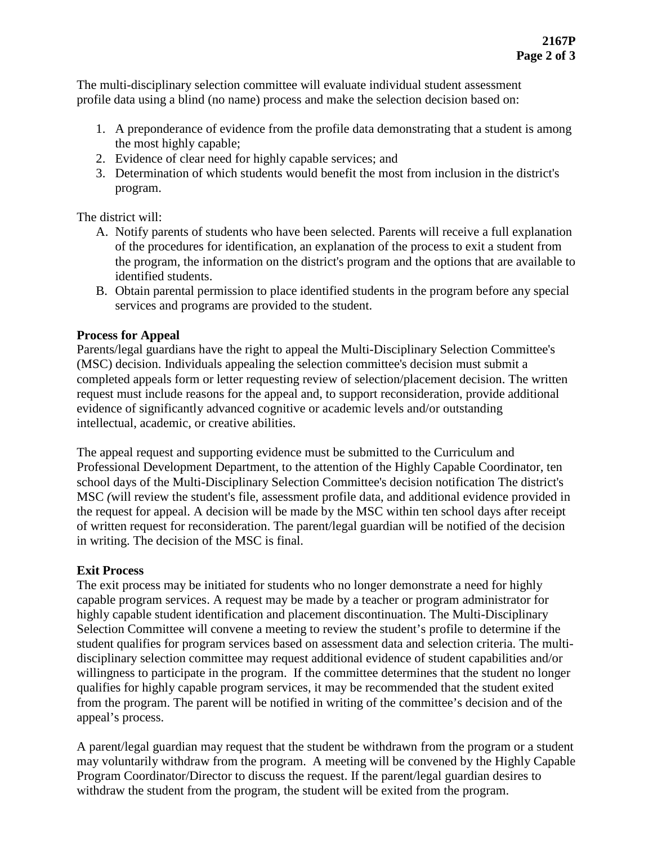The multi-disciplinary selection committee will evaluate individual student assessment profile data using a blind (no name) process and make the selection decision based on:

- 1. A preponderance of evidence from the profile data demonstrating that a student is among the most highly capable;
- 2. Evidence of clear need for highly capable services; and
- 3. Determination of which students would benefit the most from inclusion in the district's program.

The district will:

- A. Notify parents of students who have been selected. Parents will receive a full explanation of the procedures for identification, an explanation of the process to exit a student from the program, the information on the district's program and the options that are available to identified students.
- B. Obtain parental permission to place identified students in the program before any special services and programs are provided to the student.

# **Process for Appeal**

Parents/legal guardians have the right to appeal the Multi-Disciplinary Selection Committee's (MSC) decision. Individuals appealing the selection committee's decision must submit a completed appeals form or letter requesting review of selection/placement decision. The written request must include reasons for the appeal and, to support reconsideration, provide additional evidence of significantly advanced cognitive or academic levels and/or outstanding intellectual, academic, or creative abilities.

The appeal request and supporting evidence must be submitted to the Curriculum and Professional Development Department, to the attention of the Highly Capable Coordinator, ten school days of the Multi-Disciplinary Selection Committee's decision notification The district's MSC *(*will review the student's file, assessment profile data, and additional evidence provided in the request for appeal. A decision will be made by the MSC within ten school days after receipt of written request for reconsideration. The parent/legal guardian will be notified of the decision in writing. The decision of the MSC is final.

# **Exit Process**

The exit process may be initiated for students who no longer demonstrate a need for highly capable program services. A request may be made by a teacher or program administrator for highly capable student identification and placement discontinuation. The Multi-Disciplinary Selection Committee will convene a meeting to review the student's profile to determine if the student qualifies for program services based on assessment data and selection criteria. The multidisciplinary selection committee may request additional evidence of student capabilities and/or willingness to participate in the program. If the committee determines that the student no longer qualifies for highly capable program services, it may be recommended that the student exited from the program. The parent will be notified in writing of the committee's decision and of the appeal's process.

A parent/legal guardian may request that the student be withdrawn from the program or a student may voluntarily withdraw from the program. A meeting will be convened by the Highly Capable Program Coordinator/Director to discuss the request. If the parent/legal guardian desires to withdraw the student from the program, the student will be exited from the program.